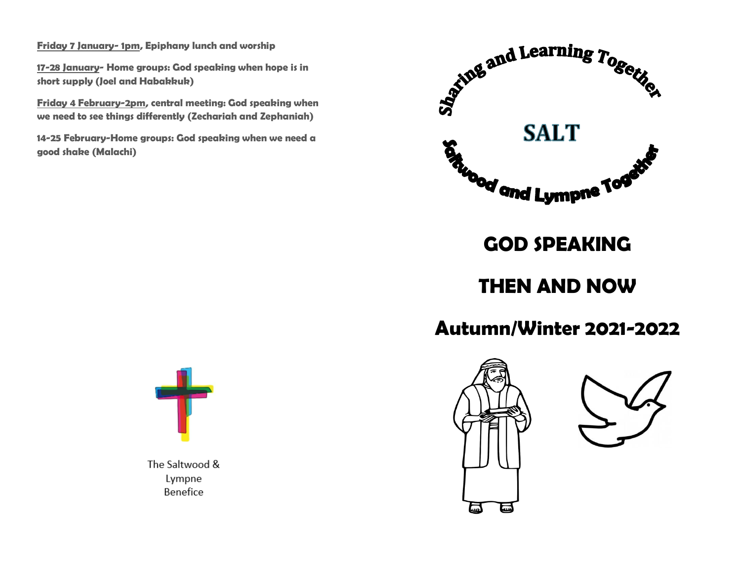**Friday 7 January- 1pm, Epiphany lunch and worship** 

**17-28 January- Home groups: God speaking when hope is in short supply (Joel and Habakkuk)**

**Friday 4 February-2pm, central meeting: God speaking when we need to see things differently (Zechariah and Zephaniah)**

**14-25 February-Home groups: God speaking when we need a good shake (Malachi)**



**GOD SPEAKING**

**THEN AND NOW**

## **Autumn/Winter 2021-2022**





The Saltwood & Lympne Benefice